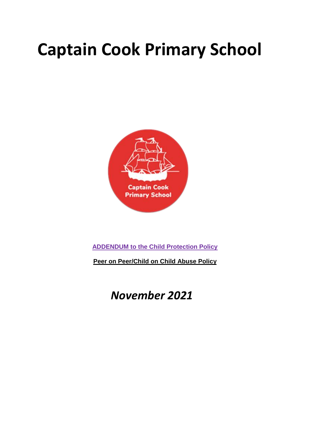# **Captain Cook Primary School**



**ADDENDUM to the Child Protection Policy**

**Peer on Peer/Child on Child Abuse Policy**

 *November 2021*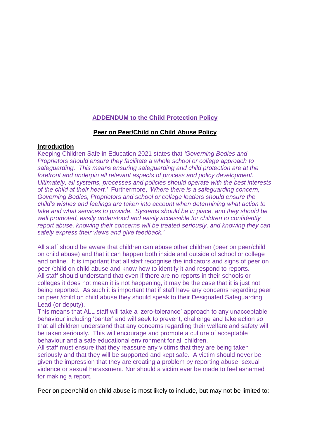## **ADDENDUM to the Child Protection Policy**

## **Peer on Peer/Child on Child Abuse Policy**

#### **Introduction**

Keeping Children Safe in Education 2021 states that *'Governing Bodies and Proprietors should ensure they facilitate a whole school or college approach to safeguarding. This means ensuring safeguarding and child protection are at the forefront and underpin all relevant aspects of process and policy development. Ultimately, all systems, processes and policies should operate with the best interests of the child at their heart.'* Furthermore, *'Where there is a safeguarding concern, Governing Bodies, Proprietors and school or college leaders should ensure the child's wishes and feelings are taken into account when determining what action to take and what services to provide. Systems should be in place, and they should be well promoted, easily understood and easily accessible for children to confidently report abuse, knowing their concerns will be treated seriously, and knowing they can safely express their views and give feedback.'*

All staff should be aware that children can abuse other children (peer on peer/child on child abuse) and that it can happen both inside and outside of school or college and online. It is important that all staff recognise the indicators and signs of peer on peer /child on child abuse and know how to identify it and respond to reports. All staff should understand that even if there are no reports in their schools or colleges it does not mean it is not happening, it may be the case that it is just not being reported. As such it is important that if staff have any concerns regarding peer on peer /child on child abuse they should speak to their Designated Safeguarding Lead (or deputy).

This means that ALL staff will take a 'zero-tolerance' approach to any unacceptable behaviour including 'banter' and will seek to prevent, challenge and take action so that all children understand that any concerns regarding their welfare and safety will be taken seriously. This will encourage and promote a culture of acceptable behaviour and a safe educational environment for all children.

All staff must ensure that they reassure any victims that they are being taken seriously and that they will be supported and kept safe. A victim should never be given the impression that they are creating a problem by reporting abuse, sexual violence or sexual harassment. Nor should a victim ever be made to feel ashamed for making a report.

Peer on peer/child on child abuse is most likely to include, but may not be limited to: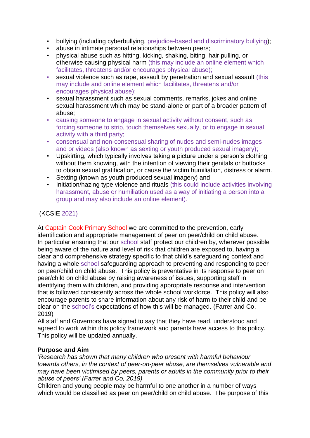- bullying (including cyberbullying, prejudice-based and discriminatory bullying);
- abuse in intimate personal relationships between peers;
- physical abuse such as hitting, kicking, shaking, biting, hair pulling, or otherwise causing physical harm (this may include an online element which facilitates, threatens and/or encourages physical abuse);
- sexual violence such as rape, assault by penetration and sexual assault (this may include and online element which facilitates, threatens and/or encourages physical abuse);
- sexual harassment such as sexual comments, remarks, jokes and online sexual harassment which may be stand-alone or part of a broader pattern of abuse;
- causing someone to engage in sexual activity without consent, such as forcing someone to strip, touch themselves sexually, or to engage in sexual activity with a third party;
- consensual and non-consensual sharing of nudes and semi-nudes images and or videos (also known as sexting or youth produced sexual imagery);
- Upskirting, which typically involves taking a picture under a person's clothing without them knowing, with the intention of viewing their genitals or buttocks to obtain sexual gratification, or cause the victim humiliation, distress or alarm.
- Sexting (known as youth produced sexual imagery) and
- Initiation/hazing type violence and rituals (this could include activities involving harassment, abuse or humiliation used as a way of initiating a person into a group and may also include an online element).

## (KCSIE 2021)

At Captain Cook Primary School we are committed to the prevention, early identification and appropriate management of peer on peer/child on child abuse. In particular ensuring that our school staff protect our children by, wherever possible being aware of the nature and level of risk that children are exposed to, having a clear and comprehensive strategy specific to that child's safeguarding context and having a whole school safeguarding approach to preventing and responding to peer on peer/child on child abuse. This policy is preventative in its response to peer on peer/child on child abuse by raising awareness of issues, supporting staff in identifying them with children, and providing appropriate response and intervention that is followed consistently across the whole school workforce. This policy will also encourage parents to share information about any risk of harm to their child and be clear on the school's expectations of how this will be managed. (Farrer and Co. 2019)

All staff and Governors have signed to say that they have read, understood and agreed to work within this policy framework and parents have access to this policy. This policy will be updated annually.

## **Purpose and Aim**

'*Research has shown that many children who present with harmful behaviour towards others, in the context of peer-on-peer abuse, are themselves vulnerable and may have been victimised by peers, parents or adults in the community prior to their abuse of peers' (Farrer and Co, 2019)*

Children and young people may be harmful to one another in a number of ways which would be classified as peer on peer/child on child abuse. The purpose of this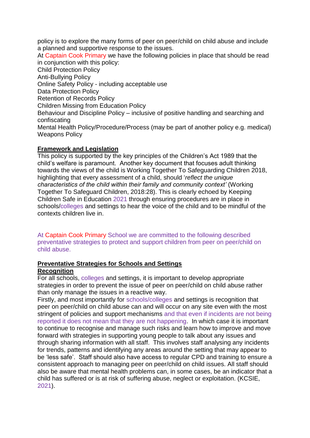policy is to explore the many forms of peer on peer/child on child abuse and include a planned and supportive response to the issues.

At Captain Cook Primary we have the following policies in place that should be read in conjunction with this policy: Child Protection Policy Anti-Bullying Policy Online Safety Policy - including acceptable use Data Protection Policy Retention of Records Policy Children Missing from Education Policy Behaviour and Discipline Policy – inclusive of positive handling and searching and confiscating Mental Health Policy/Procedure/Process (may be part of another policy e.g. medical) Weapons Policy

## **Framework and Legislation**

This policy is supported by the key principles of the Children's Act 1989 that the child's welfare is paramount. Another key document that focuses adult thinking towards the views of the child is Working Together To Safeguarding Children 2018, highlighting that every assessment of a child, should '*reflect the unique characteristics of the child within their family and community context'* (Working Together To Safeguard Children, 2018:28). This is clearly echoed by Keeping Children Safe in Education 2021 through ensuring procedures are in place in schools/colleges and settings to hear the voice of the child and to be mindful of the contexts children live in.

At Captain Cook Primary School we are committed to the following described preventative strategies to protect and support children from peer on peer/child on child abuse.

#### **Preventative Strategies for Schools and Settings Recognition**

For all schools, colleges and settings, it is important to develop appropriate

strategies in order to prevent the issue of peer on peer/child on child abuse rather than only manage the issues in a reactive way.

Firstly, and most importantly for schools/colleges and settings is recognition that peer on peer/child on child abuse can and will occur on any site even with the most stringent of policies and support mechanisms and that even if incidents are not being reported it does not mean that they are not happening. In which case it is important to continue to recognise and manage such risks and learn how to improve and move forward with strategies in supporting young people to talk about any issues and through sharing information with all staff. This involves staff analysing any incidents for trends, patterns and identifying any areas around the setting that may appear to be 'less safe'. Staff should also have access to regular CPD and training to ensure a consistent approach to managing peer on peer/child on child issues. All staff should also be aware that mental health problems can, in some cases, be an indicator that a child has suffered or is at risk of suffering abuse, neglect or exploitation. (KCSIE, 2021).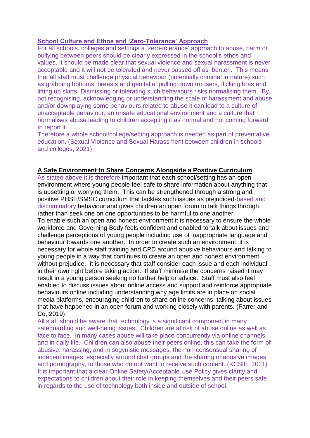## **School Culture and Ethos and 'Zero-Tolerance' Approach**

For all schools, colleges and settings a 'zero-tolerance' approach to abuse, harm or bullying between peers should be clearly expressed in the school's ethos and values. It should be made clear that sexual violence and sexual harassment is never acceptable and it will not be tolerated and never passed off as 'banter'. This means that all staff must challenge physical behaviour (potentially criminal in nature) such as grabbing bottoms, breasts and genitalia, pulling down trousers, flicking bras and lifting up skirts. Dismissing or tolerating such behaviours risks normalising them. By not recognising, acknowledging or understanding the scale of harassment and abuse and/or downplaying some behaviours related to abuse it can lead to a culture of unacceptable behaviour, an unsafe educational environment and a culture that normalises abuse leading to children accepting it as normal and not coming forward to report it.

Therefore a whole school/college/setting approach is needed as part of preventative education. (Sexual Violence and Sexual Harassment between children in schools and colleges, 2021)

## **A Safe Environment to Share Concerns Alongside a Positive Curriculum**

As stated above it is therefore important that each school/setting has an open environment where young people feel safe to share information about anything that is upsetting or worrying them. This can be strengthened through a strong and positive PHSE/SMSC curriculum that tackles such issues as prejudiced-based and discriminatory behaviour and gives children an open forum to talk things through rather than seek one on one opportunities to be harmful to one another.

To enable such an open and honest environment it is necessary to ensure the whole workforce and Governing Body feels confident and enabled to talk about issues and challenge perceptions of young people including use of inappropriate language and behaviour towards one another. In order to create such an environment, it is necessary for whole staff training and CPD around abusive behaviours and talking to young people in a way that continues to create an open and honest environment without prejudice. It is necessary that staff consider each issue and each individual in their own right before taking action. If staff minimise the concerns raised it may result in a young person seeking no further help or advice. Staff must also feel enabled to discuss issues about online access and support and reinforce appropriate behaviours online including understanding why age limits are in place on social media platforms, encouraging children to share online concerns, talking about issues that have happened in an open forum and working closely with parents. (Farrer and Co, 2019)

All staff should be aware that technology is a significant component in many safeguarding and well-being issues. Children are at risk of abuse online as well as face to face. In many cases abuse will take place concurrently via online channels and in daily life. Children can also abuse their peers online, this can take the form of abusive, harassing, and misogynistic messages, the non-consensual sharing of indecent images, especially around chat groups and the sharing of abusive images and pornography, to those who do not want to receive such content. (KCSIE, 2021) It is important that a clear Online Safety/Acceptable Use Policy gives clarity and expectations to children about their role in keeping themselves and their peers safe in regards to the use of technology both inside and outside of school.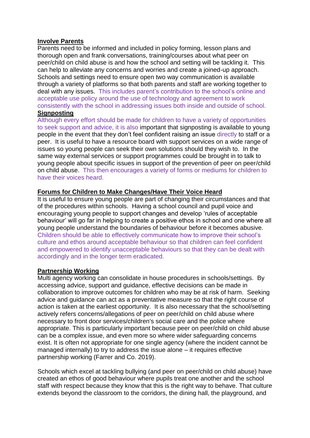#### **Involve Parents**

Parents need to be informed and included in policy forming, lesson plans and thorough open and frank conversations, training/courses about what peer on peer/child on child abuse is and how the school and setting will be tackling it. This can help to alleviate any concerns and worries and create a joined-up approach. Schools and settings need to ensure open two way communication is available through a variety of platforms so that both parents and staff are working together to deal with any issues. This includes parent's contribution to the school's online and acceptable use policy around the use of technology and agreement to work consistently with the school in addressing issues both inside and outside of school. **Signposting**

Although every effort should be made for children to have a variety of opportunities to seek support and advice, it is also important that signposting is available to young people in the event that they don't feel confident raising an issue directly to staff or a peer. It is useful to have a resource board with support services on a wide range of issues so young people can seek their own solutions should they wish to. In the same way external services or support programmes could be brought in to talk to young people about specific issues in support of the prevention of peer on peer/child on child abuse. This then encourages a variety of forms or mediums for children to have their voices heard.

## **Forums for Children to Make Changes/Have Their Voice Heard**

It is useful to ensure young people are part of changing their circumstances and that of the procedures within schools. Having a school council and pupil voice and encouraging young people to support changes and develop 'rules of acceptable behaviour' will go far in helping to create a positive ethos in school and one where all young people understand the boundaries of behaviour before it becomes abusive. Children should be able to effectively communicate how to improve their school's culture and ethos around acceptable behaviour so that children can feel confident and empowered to identify unacceptable behaviours so that they can be dealt with accordingly and in the longer term eradicated.

## **Partnership Working**

Multi agency working can consolidate in house procedures in schools/settings. By accessing advice, support and guidance, effective decisions can be made in collaboration to improve outcomes for children who may be at risk of harm. Seeking advice and guidance can act as a preventative measure so that the right course of action is taken at the earliest opportunity. It is also necessary that the school/setting actively refers concerns/allegations of peer on peer/child on child abuse where necessary to front door services/children's social care and the police where appropriate. This is particularly important because peer on peer/child on child abuse can be a complex issue, and even more so where wider safeguarding concerns exist. It is often not appropriate for one single agency (where the incident cannot be managed internally) to try to address the issue alone – it requires effective partnership working (Farrer and Co. 2019).

Schools which excel at tackling bullying (and peer on peer/child on child abuse) have created an ethos of good behaviour where pupils treat one another and the school staff with respect because they know that this is the right way to behave. That culture extends beyond the classroom to the corridors, the dining hall, the playground, and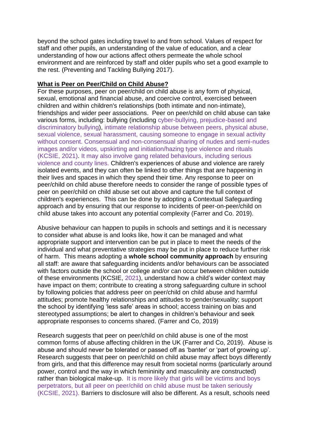beyond the school gates including travel to and from school. Values of respect for staff and other pupils, an understanding of the value of education, and a clear understanding of how our actions affect others permeate the whole school environment and are reinforced by staff and older pupils who set a good example to the rest. (Preventing and Tackling Bullying 2017).

## **What is Peer on Peer/Child on Child Abuse?**

For these purposes, peer on peer/child on child abuse is any form of physical, sexual, emotional and financial abuse, and coercive control, exercised between children and within children's relationships (both intimate and non-intimate), friendships and wider peer associations. Peer on peer/child on child abuse can take various forms, including: bullying (including cyber-bullying, prejudice-based and discriminatory bullying), intimate relationship abuse between peers, physical abuse, sexual violence, sexual harassment, causing someone to engage in sexual activity without consent. Consensual and non-consensual sharing of nudes and semi-nudes images and/or videos, upskirting and initiation/hazing type violence and rituals (KCSIE, 2021). It may also involve gang related behaviours, including serious violence and county lines. Children's experiences of abuse and violence are rarely isolated events, and they can often be linked to other things that are happening in their lives and spaces in which they spend their time. Any response to peer on peer/child on child abuse therefore needs to consider the range of possible types of peer on peer/child on child abuse set out above and capture the full context of children's experiences. This can be done by adopting a Contextual Safeguarding approach and by ensuring that our response to incidents of peer-on-peer/child on child abuse takes into account any potential complexity (Farrer and Co. 2019).

Abusive behaviour can happen to pupils in schools and settings and it is necessary to consider what abuse is and looks like, how it can be managed and what appropriate support and intervention can be put in place to meet the needs of the individual and what preventative strategies may be put in place to reduce further risk of harm. This means adopting a **whole school community approach** by ensuring all staff: are aware that safeguarding incidents and/or behaviours can be associated with factors outside the school or college and/or can occur between children outside of these environments (KCSIE, 2021), understand how a child's wider context may have impact on them; contribute to creating a strong safeguarding culture in school by following policies that address peer on peer/child on child abuse and harmful attitudes; promote healthy relationships and attitudes to gender/sexuality; support the school by identifying 'less safe' areas in school; access training on bias and stereotyped assumptions; be alert to changes in children's behaviour and seek appropriate responses to concerns shared. (Farrer and Co, 2019)

Research suggests that peer on peer/child on child abuse is one of the most common forms of abuse affecting children in the UK (Farrer and Co, 2019). Abuse is abuse and should never be tolerated or passed off as 'banter' or 'part of growing up'. Research suggests that peer on peer/child on child abuse may affect boys differently from girls, and that this difference may result from societal norms (particularly around power, control and the way in which femininity and masculinity are constructed) rather than biological make-up. It is more likely that girls will be victims and boys perpetrators, but all peer on peer/child on child abuse must be taken seriously (KCSIE, 2021). Barriers to disclosure will also be different. As a result, schools need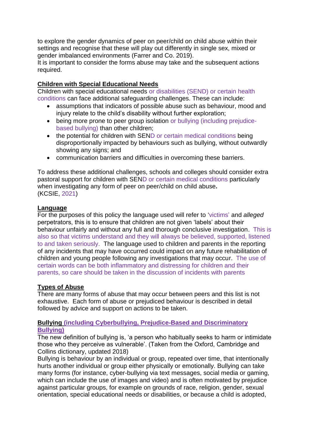to explore the gender dynamics of peer on peer/child on child abuse within their settings and recognise that these will play out differently in single sex, mixed or gender imbalanced environments (Farrer and Co. 2019).

It is important to consider the forms abuse may take and the subsequent actions required.

## **Children with Special Educational Needs**

Children with special educational needs or disabilities (SEND) or certain health conditions can face additional safeguarding challenges. These can include:

- assumptions that indicators of possible abuse such as behaviour, mood and injury relate to the child's disability without further exploration;
- being more prone to peer group isolation or bullying (including prejudicebased bullying) than other children;
- the potential for children with SEND or certain medical conditions being disproportionally impacted by behaviours such as bullying, without outwardly showing any signs; and
- communication barriers and difficulties in overcoming these barriers.

To address these additional challenges, schools and colleges should consider extra pastoral support for children with SEND or certain medical conditions particularly when investigating any form of peer on peer/child on child abuse**.** (KCSIE, 2021)

## **Language**

For the purposes of this policy the language used will refer to 'victims' and *alleged* perpetrators, this is to ensure that children are not given 'labels' about their behaviour unfairly and without any full and thorough conclusive investigation. This is also so that victims understand and they will always be believed, supported, listened to and taken seriously. The language used to children and parents in the reporting of any incidents that may have occurred could impact on any future rehabilitation of children and young people following any investigations that may occur. The use of certain words can be both inflammatory and distressing for children and their parents, so care should be taken in the discussion of incidents with parents

## **Types of Abuse**

There are many forms of abuse that may occur between peers and this list is not exhaustive. Each form of abuse or prejudiced behaviour is described in detail followed by advice and support on actions to be taken.

## **Bullying (including Cyberbullying, Prejudice-Based and Discriminatory Bullying)**

The new definition of bullying is, 'a person who habitually seeks to harm or intimidate those who they perceive as vulnerable'. (Taken from the Oxford, Cambridge and Collins dictionary, updated 2018)

Bullying is behaviour by an individual or group, repeated over time, that intentionally hurts another individual or group either physically or emotionally. Bullying can take many forms (for instance, cyber-bullying via text messages, social media or gaming, which can include the use of images and video) and is often motivated by prejudice against particular groups, for example on grounds of race, religion, gender, sexual orientation, special educational needs or disabilities, or because a child is adopted,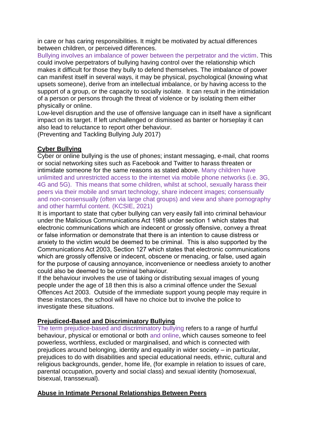in care or has caring responsibilities. It might be motivated by actual differences between children, or perceived differences.

Bullying involves an imbalance of power between the perpetrator and the victim. This could involve perpetrators of bullying having control over the relationship which makes it difficult for those they bully to defend themselves. The imbalance of power can manifest itself in several ways, it may be physical, psychological (knowing what upsets someone), derive from an intellectual imbalance, or by having access to the support of a group, or the capacity to socially isolate. It can result in the intimidation of a person or persons through the threat of violence or by isolating them either physically or online.

Low-level disruption and the use of offensive language can in itself have a significant impact on its target. If left unchallenged or dismissed as banter or horseplay it can also lead to reluctance to report other behaviour.

(Preventing and Tackling Bullying July 2017)

## **Cyber Bullying**

Cyber or online bullying is the use of phones; instant messaging, e-mail, chat rooms or social networking sites such as Facebook and Twitter to harass threaten or intimidate someone for the same reasons as stated above. Many children have unlimited and unrestricted access to the internet via mobile phone networks (i.e. 3G, 4G and 5G). This means that some children, whilst at school, sexually harass their peers via their mobile and smart technology, share indecent images; consensually and non-consensually (often via large chat groups) and view and share pornography and other harmful content. (KCSIE, 2021)

It is important to state that cyber bullying can very easily fall into criminal behaviour under the Malicious Communications Act 1988 under section 1 which states that electronic communications which are indecent or grossly offensive, convey a threat or false information or demonstrate that there is an intention to cause distress or anxiety to the victim would be deemed to be criminal. This is also supported by the Communications Act 2003, Section 127 which states that electronic communications which are grossly offensive or indecent, obscene or menacing, or false, used again for the purpose of causing annoyance, inconvenience or needless anxiety to another could also be deemed to be criminal behaviour.

If the behaviour involves the use of taking or distributing sexual images of young people under the age of 18 then this is also a criminal offence under the Sexual Offences Act 2003. Outside of the immediate support young people may require in these instances, the school will have no choice but to involve the police to investigate these situations.

## **Prejudiced-Based and Discriminatory Bullying**

The term prejudice-based and discriminatory bullying refers to a range of hurtful behaviour, physical or emotional or both and online, which causes someone to feel powerless, worthless, excluded or marginalised, and which is connected with prejudices around belonging, identity and equality in wider society – in particular, prejudices to do with disabilities and special educational needs, ethnic, cultural and religious backgrounds, gender, home life, (for example in relation to issues of care, parental occupation, poverty and social class) and sexual identity (homosexual, bisexual, transsexual).

## **Abuse in Intimate Personal Relationships Between Peers**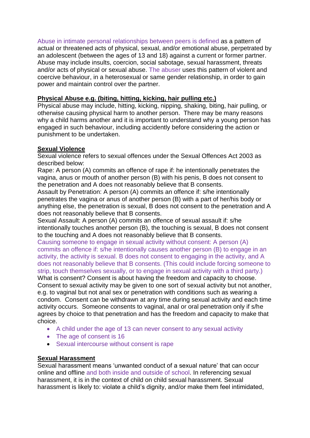Abuse in intimate personal relationships between peers is defined as a pattern of actual or threatened acts of physical, sexual, and/or emotional abuse, perpetrated by an adolescent (between the ages of 13 and 18) against a current or former partner. Abuse may include insults, coercion, social sabotage, sexual harassment, threats and/or acts of physical or sexual abuse. The abuser uses this pattern of violent and coercive behaviour, in a heterosexual or same gender relationship, in order to gain power and maintain control over the partner.

## **Physical Abuse e.g. (biting, hitting, kicking, hair pulling etc.)**

Physical abuse may include, hitting, kicking, nipping, shaking, biting, hair pulling, or otherwise causing physical harm to another person. There may be many reasons why a child harms another and it is important to understand why a young person has engaged in such behaviour, including accidently before considering the action or punishment to be undertaken.

## **Sexual Violence**

Sexual violence refers to sexual offences under the Sexual Offences Act 2003 as described below:

Rape: A person (A) commits an offence of rape if: he intentionally penetrates the vagina, anus or mouth of another person (B) with his penis, B does not consent to the penetration and A does not reasonably believe that B consents.

Assault by Penetration: A person (A) commits an offence if: s/he intentionally penetrates the vagina or anus of another person (B) with a part of her/his body or anything else, the penetration is sexual, B does not consent to the penetration and A does not reasonably believe that B consents.

Sexual Assault: A person (A) commits an offence of sexual assault if: s/he intentionally touches another person (B), the touching is sexual, B does not consent to the touching and A does not reasonably believe that B consents.

Causing someone to engage in sexual activity without consent: A person (A) commits an offence if: s/he intentionally causes another person (B) to engage in an activity, the activity is sexual. B does not consent to engaging in the activity, and A does not reasonably believe that B consents. (This could include forcing someone to strip, touch themselves sexually, or to engage in sexual activity with a third party.) What is consent? Consent is about having the freedom and capacity to choose. Consent to sexual activity may be given to one sort of sexual activity but not another, e.g. to vaginal but not anal sex or penetration with conditions such as wearing a condom. Consent can be withdrawn at any time during sexual activity and each time activity occurs. Someone consents to vaginal, anal or oral penetration only if s/he agrees by choice to that penetration and has the freedom and capacity to make that choice.

- A child under the age of 13 can never consent to any sexual activity
- The age of consent is 16
- Sexual intercourse without consent is rape

## **Sexual Harassment**

Sexual harassment means 'unwanted conduct of a sexual nature' that can occur online and offline and both inside and outside of school. In referencing sexual harassment, it is in the context of child on child sexual harassment. Sexual harassment is likely to: violate a child's dignity, and/or make them feel intimidated,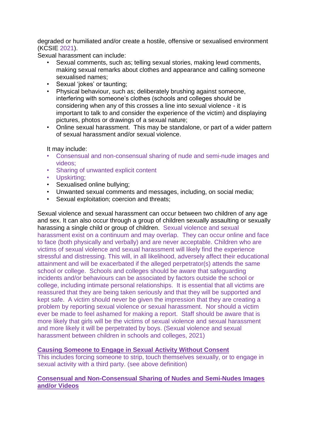degraded or humiliated and/or create a hostile, offensive or sexualised environment (KCSIE 2021).

Sexual harassment can include:

- Sexual comments, such as; telling sexual stories, making lewd comments, making sexual remarks about clothes and appearance and calling someone sexualised names;
- Sexual 'iokes' or taunting:
- Physical behaviour, such as; deliberately brushing against someone, interfering with someone's clothes (schools and colleges should be considering when any of this crosses a line into sexual violence - it is important to talk to and consider the experience of the victim) and displaying pictures, photos or drawings of a sexual nature;
- Online sexual harassment. This may be standalone, or part of a wider pattern of sexual harassment and/or sexual violence.

#### It may include:

- Consensual and non-consensual sharing of nude and semi-nude images and videos;
- Sharing of unwanted explicit content
- Upskirting;
- Sexualised online bullying;
- Unwanted sexual comments and messages, including, on social media;
- Sexual exploitation; coercion and threats;

Sexual violence and sexual harassment can occur between two children of any age and sex. It can also occur through a group of children sexually assaulting or sexually harassing a single child or group of children. Sexual violence and sexual harassment exist on a continuum and may overlap. They can occur online and face to face (both physically and verbally) and are never acceptable. Children who are victims of sexual violence and sexual harassment will likely find the experience stressful and distressing. This will, in all likelihood, adversely affect their educational attainment and will be exacerbated if the alleged perpetrator(s) attends the same school or college. Schools and colleges should be aware that safeguarding incidents and/or behaviours can be associated by factors outside the school or college, including intimate personal relationships. It is essential that all victims are reassured that they are being taken seriously and that they will be supported and kept safe. A victim should never be given the impression that they are creating a problem by reporting sexual violence or sexual harassment. Nor should a victim ever be made to feel ashamed for making a report. Staff should be aware that is more likely that girls will be the victims of sexual violence and sexual harassment and more likely it will be perpetrated by boys. (Sexual violence and sexual harassment between children in schools and colleges, 2021)

#### **Causing Someone to Engage in Sexual Activity Without Consent**

This includes forcing someone to strip, touch themselves sexually, or to engage in sexual activity with a third party. (see above definition)

## **Consensual and Non-Consensual Sharing of Nudes and Semi-Nudes Images and/or Videos**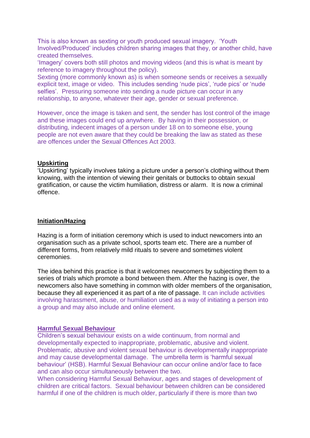This is also known as sexting or youth produced sexual imagery. 'Youth Involved/Produced' includes children sharing images that they, or another child, have created themselves.

'Imagery' covers both still photos and moving videos (and this is what is meant by reference to imagery throughout the policy).

Sexting (more commonly known as) is when someone sends or receives a sexually explicit text, image or video. This includes sending 'nude pics', 'rude pics' or 'nude selfies'. Pressuring someone into sending a nude picture can occur in any relationship, to anyone, whatever their age, gender or sexual preference.

However, once the image is taken and sent, the sender has lost control of the image and these images could end up anywhere. By having in their possession, or distributing, indecent images of a person under 18 on to someone else, young people are not even aware that they could be breaking the law as stated as these are offences under the Sexual Offences Act 2003.

#### **Upskirting**

'Upskirting' typically involves taking a picture under a person's clothing without them knowing, with the intention of viewing their genitals or buttocks to obtain sexual gratification, or cause the victim humiliation, distress or alarm. It is now a criminal offence.

#### **Initiation/Hazing**

Hazing is a form of initiation ceremony which is used to induct newcomers into an organisation such as a private school, sports team etc. There are a number of different forms, from relatively mild rituals to severe and sometimes violent ceremonies.

The idea behind this practice is that it welcomes newcomers by subjecting them to a series of trials which promote a bond between them. After the hazing is over, the newcomers also have something in common with older members of the organisation, because they all experienced it as part of a rite of passage. It can include activities involving harassment, abuse, or humiliation used as a way of initiating a person into a group and may also include and online element.

#### **Harmful Sexual Behaviour**

Children's sexual behaviour exists on a wide continuum, from normal and developmentally expected to inappropriate, problematic, abusive and violent. Problematic, abusive and violent sexual behaviour is developmentally inappropriate and may cause developmental damage. The umbrella term is 'harmful sexual behaviour' (HSB). Harmful Sexual Behaviour can occur online and/or face to face and can also occur simultaneously between the two.

When considering Harmful Sexual Behaviour, ages and stages of development of children are critical factors. Sexual behaviour between children can be considered harmful if one of the children is much older, particularly if there is more than two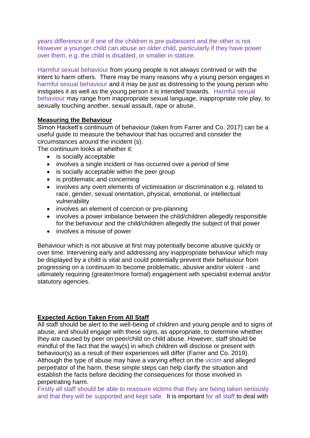years difference or if one of the children is pre-pubescent and the other is not. However a younger child can abuse an older child, particularly if they have power over them, e.g. the child is disabled, or smaller in stature.

Harmful sexual behaviour from young people is not always contrived or with the intent to harm others. There may be many reasons why a young person engages in harmful sexual behaviour and it may be just as distressing to the young person who instigates it as well as the young person it is intended towards. Harmful sexual behaviour may range from inappropriate sexual language, inappropriate role play, to sexually touching another, sexual assault, rape or abuse.

## **Measuring the Behaviour**

Simon Hackett's continuum of behaviour (taken from Farrer and Co. 2017) can be a useful guide to measure the behaviour that has occurred and consider the circumstances around the incident (s).

The continuum looks at whether it:

- is socially acceptable
- involves a single incident or has occurred over a period of time
- is socially acceptable within the peer group
- is problematic and concerning
- involves any overt elements of victimisation or discrimination e.g. related to race, gender, sexual orientation, physical, emotional, or intellectual vulnerability
- involves an element of coercion or pre-planning
- involves a power imbalance between the child/children allegedly responsible for the behaviour and the child/children allegedly the subject of that power
- involves a misuse of power

Behaviour which is not abusive at first may potentially become abusive quickly or over time. Intervening early and addressing any inappropriate behaviour which may be displayed by a child is vital and could potentially prevent their behaviour from progressing on a continuum to become problematic, abusive and/or violent - and ultimately requiring (greater/more formal) engagement with specialist external and/or statutory agencies.

## **Expected Action Taken From All Staff**

All staff should be alert to the well-being of children and young people and to signs of abuse, and should engage with these signs, as appropriate, to determine whether they are caused by peer on peer/child on child abuse. However, staff should be mindful of the fact that the way(s) in which children will disclose or present with behaviour(s) as a result of their experiences will differ (Farrer and Co. 2019). Although the type of abuse may have a varying effect on the victim and alleged perpetrator of the harm, these simple steps can help clarify the situation and establish the facts before deciding the consequences for those involved in perpetrating harm.

Firstly all staff should be able to reassure victims that they are being taken seriously and that they will be supported and kept safe. It is important for all staff to deal with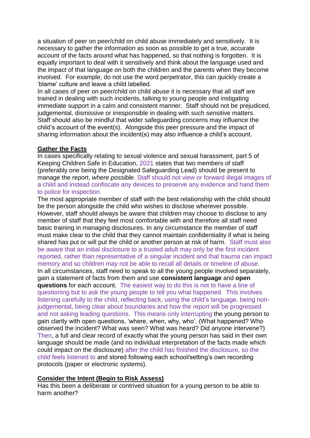a situation of peer on peer/child on child abuse immediately and sensitively. It is necessary to gather the information as soon as possible to get a true, accurate account of the facts around what has happened, so that nothing is forgotten. It is equally important to deal with it sensitively and think about the language used and the impact of that language on both the children and the parents when they become involved. For example; do not use the word perpetrator, this can quickly create a 'blame' culture and leave a child labelled.

In all cases of peer on peer/child on child abuse it is necessary that all staff are trained in dealing with such incidents, talking to young people and instigating immediate support in a calm and consistent manner. Staff should not be prejudiced, judgemental, dismissive or irresponsible in dealing with such sensitive matters. Staff should also be mindful that wider safeguarding concerns may influence the child's account of the event(s). Alongside this peer pressure and the impact of sharing information about the incident(s) may also influence a child's account.

#### **Gather the Facts**

In cases specifically relating to sexual violence and sexual harassment, part 5 of Keeping Children Safe in Education, 2021 states that two members of staff (preferably one being the Designated Safeguarding Lead) should be present to manage the report, *where possible*. Staff should not view or forward illegal images of a child and instead confiscate any devices to preserve any evidence and hand them to police for inspection.

The most appropriate member of staff with the best relationship with the child should be the person alongside the child who wishes to disclose wherever possible. However, staff should always be aware that children may choose to disclose to any member of staff that they feel most comfortable with and therefore all staff need basic training in managing disclosures. In any circumstance the member of staff must make clear to the child that they cannot maintain confidentiality if what is being shared has put or will put the child or another person at risk of harm. Staff must also be aware that an initial disclosure to a trusted adult may only be the first incident reported, rather than representative of a singular incident and that trauma can impact memory and so children may not be able to recall all details or timeline of abuse. In all circumstances, staff need to speak to all the young people involved separately, gain a statement of facts from them and use **consistent language** and **open questions** for each account. The easiest way to do this is not to have a line of questioning but to ask the young people to tell you what happened. This involves listening carefully to the child, reflecting back, using the child's language, being nonjudgemental, being clear about boundaries and how the report will be progressed and not asking leading questions. This means only interrupting the young person to gain clarity with open questions, 'where, when, why, who'. (What happened? Who observed the incident? What was seen? What was heard? Did anyone intervene?) Then, a full and clear record of exactly what the young person has said in their own language should be made (and no individual interpretation of the facts made which could impact on the disclosure) after the child has finished the disclosure, so the child feels listened to and stored following each school/setting's own recording protocols (paper or electronic systems).

## **Consider the Intent (Begin to Risk Assess)**

Has this been a deliberate or contrived situation for a young person to be able to harm another?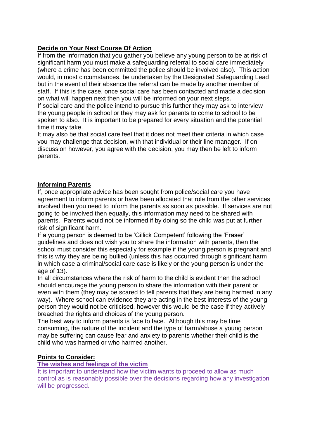## **Decide on Your Next Course Of Action**

If from the information that you gather you believe any young person to be at risk of significant harm you must make a safeguarding referral to social care immediately (where a crime has been committed the police should be involved also). This action would, in most circumstances, be undertaken by the Designated Safeguarding Lead but in the event of their absence the referral can be made by another member of staff. If this is the case, once social care has been contacted and made a decision on what will happen next then you will be informed on your next steps.

If social care and the police intend to pursue this further they may ask to interview the young people in school or they may ask for parents to come to school to be spoken to also. It is important to be prepared for every situation and the potential time it may take.

It may also be that social care feel that it does not meet their criteria in which case you may challenge that decision, with that individual or their line manager. If on discussion however, you agree with the decision, you may then be left to inform parents.

## **Informing Parents**

If, once appropriate advice has been sought from police/social care you have agreement to inform parents or have been allocated that role from the other services involved then you need to inform the parents as soon as possible. If services are not going to be involved then equally, this information may need to be shared with parents. Parents would not be informed if by doing so the child was put at further risk of significant harm.

If a young person is deemed to be 'Gillick Competent' following the 'Fraser' guidelines and does not wish you to share the information with parents, then the school must consider this especially for example if the young person is pregnant and this is why they are being bullied (unless this has occurred through significant harm in which case a criminal/social care case is likely or the young person is under the age of 13).

In all circumstances where the risk of harm to the child is evident then the school should encourage the young person to share the information with their parent or even with them (they may be scared to tell parents that they are being harmed in any way). Where school can evidence they are acting in the best interests of the young person they would not be criticised, however this would be the case if they actively breached the rights and choices of the young person.

The best way to inform parents is face to face. Although this may be time consuming, the nature of the incident and the type of harm/abuse a young person may be suffering can cause fear and anxiety to parents whether their child is the child who was harmed or who harmed another.

## **Points to Consider:**

## **The wishes and feelings of the victim**

It is important to understand how the victim wants to proceed to allow as much control as is reasonably possible over the decisions regarding how any investigation will be progressed.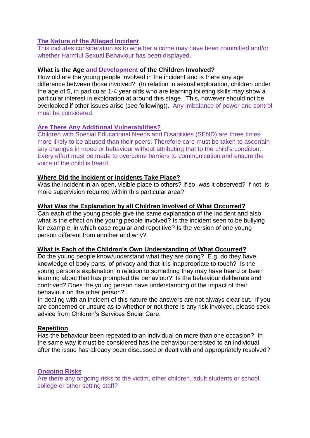## **The Nature of the Alleged Incident**

This includes consideration as to whether a crime may have been committed and/or whether Harmful Sexual Behaviour has been displayed.

## **What is the Age and Development of the Children Involved?**

How old are the young people involved in the incident and is there any age difference between those involved? (In relation to sexual exploration, children under the age of 5, in particular 1-4 year olds who are learning toileting skills may show a particular interest in exploration at around this stage. This, however should not be overlooked if other issues arise (see following)). Any imbalance of power and control must be considered.

## **Are There Any Additional Vulnerabilities?**

Children with Special Educational Needs and Disabilities (SEND) are three times more likely to be abused than their peers. Therefore care must be taken to ascertain any changes in mood or behaviour without attributing that to the child's condition. Every effort must be made to overcome barriers to communication and ensure the voice of the child is heard.

## **Where Did the Incident or Incidents Take Place?**

Was the incident in an open, visible place to others? If so, was it observed? If not, is more supervision required within this particular area?

## **What Was the Explanation by all Children Involved of What Occurred?**

Can each of the young people give the same explanation of the incident and also what is the effect on the young people involved? Is the incident seen to be bullying for example, in which case regular and repetitive? Is the version of one young person different from another and why?

## **What is Each of the Children's Own Understanding of What Occurred?**

Do the young people know/understand what they are doing? E.g. do they have knowledge of body parts, of privacy and that it is inappropriate to touch? Is the young person's explanation in relation to something they may have heard or been learning about that has prompted the behaviour? Is the behaviour deliberate and contrived? Does the young person have understanding of the impact of their behaviour on the other person?

In dealing with an incident of this nature the answers are not always clear cut. If you are concerned or unsure as to whether or not there is any risk involved, please seek advice from Children's Services Social Care.

## **Repetition**

Has the behaviour been repeated to an individual on more than one occasion? In the same way it must be considered has the behaviour persisted to an individual after the issue has already been discussed or dealt with and appropriately resolved?

## **Ongoing Risks**

Are there any ongoing risks to the victim, other children, adult students or school, college or other setting staff?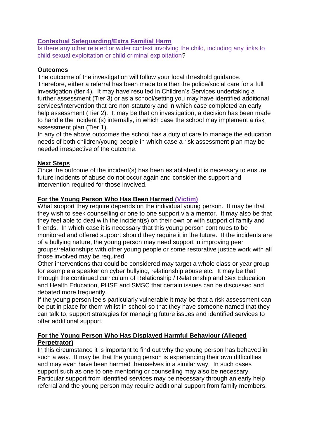## **Contextual Safeguarding/Extra Familial Harm**

Is there any other related or wider context involving the child, including any links to child sexual exploitation or child criminal exploitation?

## **Outcomes**

The outcome of the investigation will follow your local threshold guidance. Therefore, either a referral has been made to either the police/social care for a full investigation (tier 4). It may have resulted in Children's Services undertaking a further assessment (Tier 3) or as a school/setting you may have identified additional services/intervention that are non-statutory and in which case completed an early help assessment (Tier 2). It may be that on investigation, a decision has been made to handle the incident (s) internally, in which case the school may implement a risk assessment plan (Tier 1).

In any of the above outcomes the school has a duty of care to manage the education needs of both children/young people in which case a risk assessment plan may be needed irrespective of the outcome.

## **Next Steps**

Once the outcome of the incident(s) has been established it is necessary to ensure future incidents of abuse do not occur again and consider the support and intervention required for those involved.

## **For the Young Person Who Has Been Harmed (Victim)**

What support they require depends on the individual young person. It may be that they wish to seek counselling or one to one support via a mentor. It may also be that they feel able to deal with the incident(s) on their own or with support of family and friends. In which case it is necessary that this young person continues to be monitored and offered support should they require it in the future. If the incidents are of a bullying nature, the young person may need support in improving peer groups/relationships with other young people or some restorative justice work with all those involved may be required.

Other interventions that could be considered may target a whole class or year group for example a speaker on cyber bullying, relationship abuse etc. It may be that through the continued curriculum of Relationship / Relationship and Sex Education and Health Education, PHSE and SMSC that certain issues can be discussed and debated more frequently.

If the young person feels particularly vulnerable it may be that a risk assessment can be put in place for them whilst in school so that they have someone named that they can talk to, support strategies for managing future issues and identified services to offer additional support.

## **For the Young Person Who Has Displayed Harmful Behaviour (Alleged Perpetrator)**

In this circumstance it is important to find out why the young person has behaved in such a way. It may be that the young person is experiencing their own difficulties and may even have been harmed themselves in a similar way. In such cases support such as one to one mentoring or counselling may also be necessary. Particular support from identified services may be necessary through an early help referral and the young person may require additional support from family members.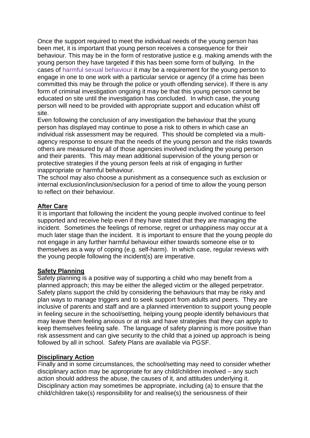Once the support required to meet the individual needs of the young person has been met, it is important that young person receives a consequence for their behaviour. This may be in the form of restorative justice e.g. making amends with the young person they have targeted if this has been some form of bullying. In the cases of harmful sexual behaviour it may be a requirement for the young person to engage in one to one work with a particular service or agency (if a crime has been committed this may be through the police or youth offending service). If there is any form of criminal investigation ongoing it may be that this young person cannot be educated on site until the investigation has concluded. In which case, the young person will need to be provided with appropriate support and education whilst off site.

Even following the conclusion of any investigation the behaviour that the young person has displayed may continue to pose a risk to others in which case an individual risk assessment may be required. This should be completed via a multiagency response to ensure that the needs of the young person and the risks towards others are measured by all of those agencies involved including the young person and their parents. This may mean additional supervision of the young person or protective strategies if the young person feels at risk of engaging in further inappropriate or harmful behaviour.

The school may also choose a punishment as a consequence such as exclusion or internal exclusion/inclusion/seclusion for a period of time to allow the young person to reflect on their behaviour.

## **After Care**

It is important that following the incident the young people involved continue to feel supported and receive help even if they have stated that they are managing the incident. Sometimes the feelings of remorse, regret or unhappiness may occur at a much later stage than the incident. It is important to ensure that the young people do not engage in any further harmful behaviour either towards someone else or to themselves as a way of coping (e.g. self-harm). In which case, regular reviews with the young people following the incident(s) are imperative.

## **Safety Planning**

Safety planning is a positive way of supporting a child who may benefit from a planned approach; this may be either the alleged victim or the alleged perpetrator. Safety plans support the child by considering the behaviours that may be risky and plan ways to manage triggers and to seek support from adults and peers. They are inclusive of parents and staff and are a planned intervention to support young people in feeling secure in the school/setting, helping young people identify behaviours that may leave them feeling anxious or at risk and have strategies that they can apply to keep themselves feeling safe. The language of safety planning is more positive than risk assessment and can give security to the child that a joined up approach is being followed by all in school. Safety Plans are available via PGSF.

## **Disciplinary Action**

Finally and in some circumstances, the school/setting may need to consider whether disciplinary action may be appropriate for any child/children involved – any such action should address the abuse, the causes of it, and attitudes underlying it. Disciplinary action may sometimes be appropriate, including (a) to ensure that the child/children take(s) responsibility for and realise(s) the seriousness of their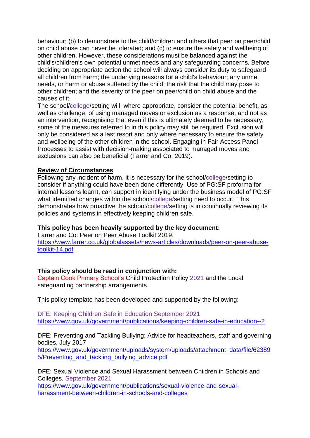behaviour; (b) to demonstrate to the child/children and others that peer on peer/child on child abuse can never be tolerated; and (c) to ensure the safety and wellbeing of other children. However, these considerations must be balanced against the child's/children's own potential unmet needs and any safeguarding concerns. Before deciding on appropriate action the school will always consider its duty to safeguard all children from harm; the underlying reasons for a child's behaviour; any unmet needs, or harm or abuse suffered by the child; the risk that the child may pose to other children; and the severity of the peer on peer/child on child abuse and the causes of it.

The school/college/setting will, where appropriate, consider the potential benefit, as well as challenge, of using managed moves or exclusion as a response, and not as an intervention, recognising that even if this is ultimately deemed to be necessary, some of the measures referred to in this policy may still be required. Exclusion will only be considered as a last resort and only where necessary to ensure the safety and wellbeing of the other children in the school. Engaging in Fair Access Panel Processes to assist with decision-making associated to managed moves and exclusions can also be beneficial (Farrer and Co. 2019).

## **Review of Circumstances**

Following any incident of harm, it is necessary for the school/college/setting to consider if anything could have been done differently. Use of PG:SF proforma for internal lessons learnt, can support in identifying under the business model of PG:SF what identified changes within the school/college/setting need to occur. This demonstrates how proactive the school/college/setting is in continually reviewing its policies and systems in effectively keeping children safe.

## **This policy has been heavily supported by the key document:**

Farrer and Co: Peer on Peer Abuse Toolkit 2019. [https://www.farrer.co.uk/globalassets/news-articles/downloads/peer-on-peer-abuse](https://www.farrer.co.uk/globalassets/news-articles/downloads/peer-on-peer-abuse-toolkit-14.pdf)[toolkit-14.pdf](https://www.farrer.co.uk/globalassets/news-articles/downloads/peer-on-peer-abuse-toolkit-14.pdf)

## **This policy should be read in conjunction with:**

Captain Cook Primary School's Child Protection Policy 2021 and the Local safeguarding partnership arrangements.

This policy template has been developed and supported by the following:

DFE: Keeping Children Safe in Education September 2021 <https://www.gov.uk/government/publications/keeping-children-safe-in-education--2>

DFE: Preventing and Tackling Bullying: Advice for headteachers, staff and governing bodies. July 2017

[https://www.gov.uk/government/uploads/system/uploads/attachment\\_data/file/62389](https://www.gov.uk/government/uploads/system/uploads/attachment_data/file/623895/Preventing_and_tackling_bullying_advice.pdf) [5/Preventing\\_and\\_tackling\\_bullying\\_advice.pdf](https://www.gov.uk/government/uploads/system/uploads/attachment_data/file/623895/Preventing_and_tackling_bullying_advice.pdf)

DFE: Sexual Violence and Sexual Harassment between Children in Schools and Colleges. September 2021

[https://www.gov.uk/government/publications/sexual-violence-and-sexual](https://www.gov.uk/government/publications/sexual-violence-and-sexual-harassment-between-children-in-schools-and-colleges)[harassment-between-children-in-schools-and-colleges](https://www.gov.uk/government/publications/sexual-violence-and-sexual-harassment-between-children-in-schools-and-colleges)